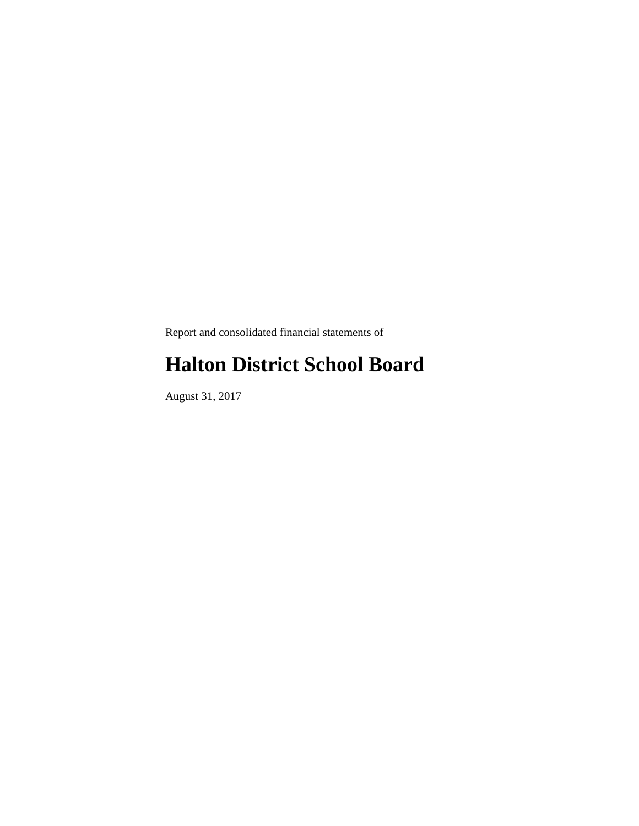Report and consolidated financial statements of

# **Halton District School Board**

August 31, 2017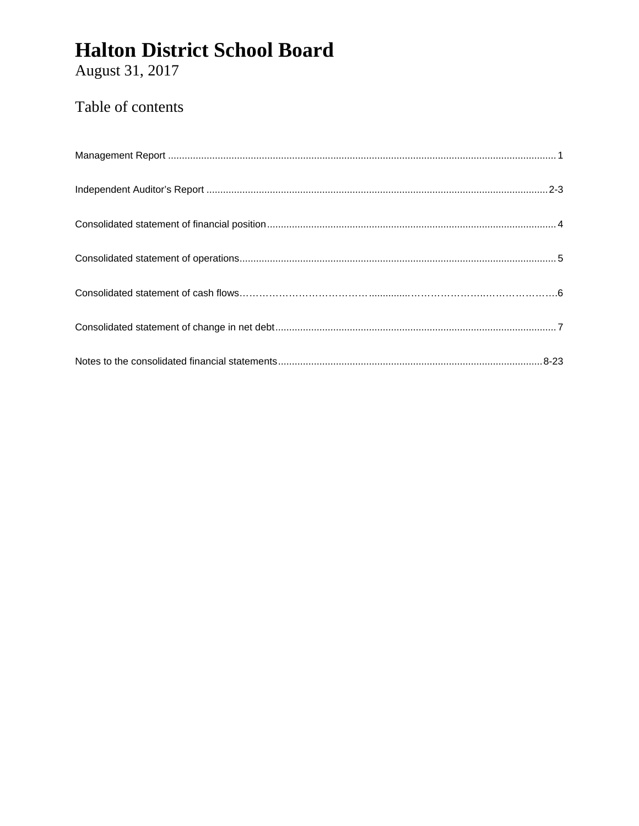August 31, 2017

# Table of contents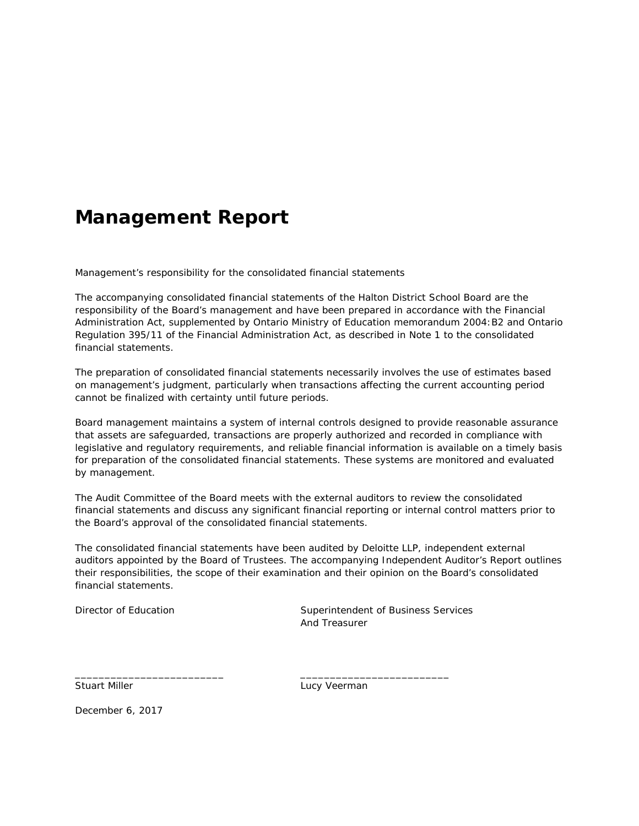# **Management Report**

Management's responsibility for the consolidated financial statements

The accompanying consolidated financial statements of the Halton District School Board are the responsibility of the Board's management and have been prepared in accordance with the Financial Administration Act, supplemented by Ontario Ministry of Education memorandum 2004:B2 and Ontario Regulation 395/11 of the Financial Administration Act, as described in Note 1 to the consolidated financial statements.

The preparation of consolidated financial statements necessarily involves the use of estimates based on management's judgment, particularly when transactions affecting the current accounting period cannot be finalized with certainty until future periods.

Board management maintains a system of internal controls designed to provide reasonable assurance that assets are safeguarded, transactions are properly authorized and recorded in compliance with legislative and regulatory requirements, and reliable financial information is available on a timely basis for preparation of the consolidated financial statements. These systems are monitored and evaluated by management.

The Audit Committee of the Board meets with the external auditors to review the consolidated financial statements and discuss any significant financial reporting or internal control matters prior to the Board's approval of the consolidated financial statements.

The consolidated financial statements have been audited by Deloitte LLP, independent external auditors appointed by the Board of Trustees. The accompanying Independent Auditor's Report outlines their responsibilities, the scope of their examination and their opinion on the Board's consolidated financial statements.

Director of Education Superintendent of Business Services And Treasurer

Stuart Miller **Lucy Veerman** 

\_\_\_\_\_\_\_\_\_\_\_\_\_\_\_\_\_\_\_\_\_\_\_\_\_ \_\_\_\_\_\_\_\_\_\_\_\_\_\_\_\_\_\_\_\_\_\_\_\_\_

December 6, 2017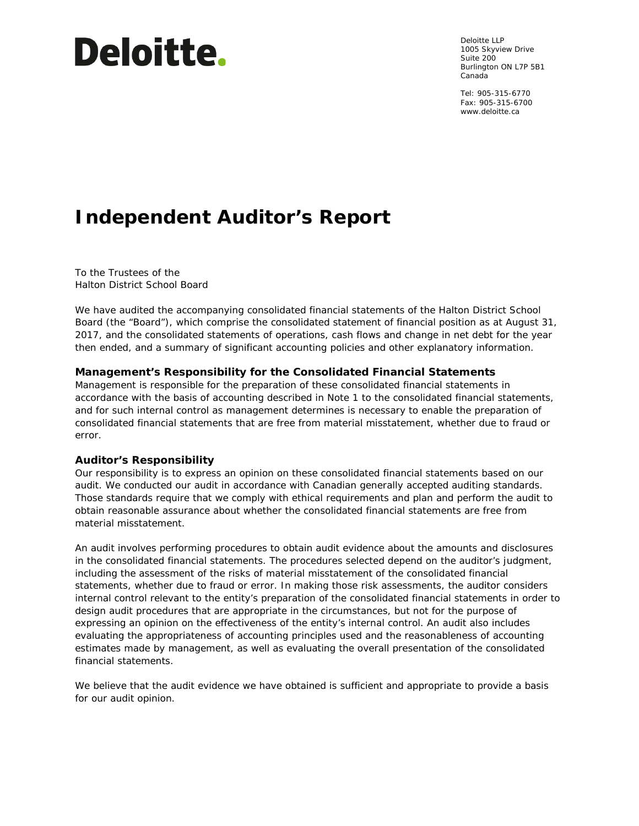# **Deloitte.**

Deloitte LLP 1005 Skyview Drive Suite 200 Burlington ON L7P 5B1 Canada

Tel: 905-315-6770 Fax: 905-315-6700 www.deloitte.ca

# **Independent Auditor's Report**

To the Trustees of the Halton District School Board

We have audited the accompanying consolidated financial statements of the Halton District School Board (the "Board"), which comprise the consolidated statement of financial position as at August 31, 2017, and the consolidated statements of operations, cash flows and change in net debt for the year then ended, and a summary of significant accounting policies and other explanatory information.

# **Management's Responsibility for the Consolidated Financial Statements**

Management is responsible for the preparation of these consolidated financial statements in accordance with the basis of accounting described in Note 1 to the consolidated financial statements, and for such internal control as management determines is necessary to enable the preparation of consolidated financial statements that are free from material misstatement, whether due to fraud or error.

# **Auditor's Responsibility**

Our responsibility is to express an opinion on these consolidated financial statements based on our audit. We conducted our audit in accordance with Canadian generally accepted auditing standards. Those standards require that we comply with ethical requirements and plan and perform the audit to obtain reasonable assurance about whether the consolidated financial statements are free from material misstatement.

An audit involves performing procedures to obtain audit evidence about the amounts and disclosures in the consolidated financial statements. The procedures selected depend on the auditor's judgment, including the assessment of the risks of material misstatement of the consolidated financial statements, whether due to fraud or error. In making those risk assessments, the auditor considers internal control relevant to the entity's preparation of the consolidated financial statements in order to design audit procedures that are appropriate in the circumstances, but not for the purpose of expressing an opinion on the effectiveness of the entity's internal control. An audit also includes evaluating the appropriateness of accounting principles used and the reasonableness of accounting estimates made by management, as well as evaluating the overall presentation of the consolidated financial statements.

We believe that the audit evidence we have obtained is sufficient and appropriate to provide a basis for our audit opinion.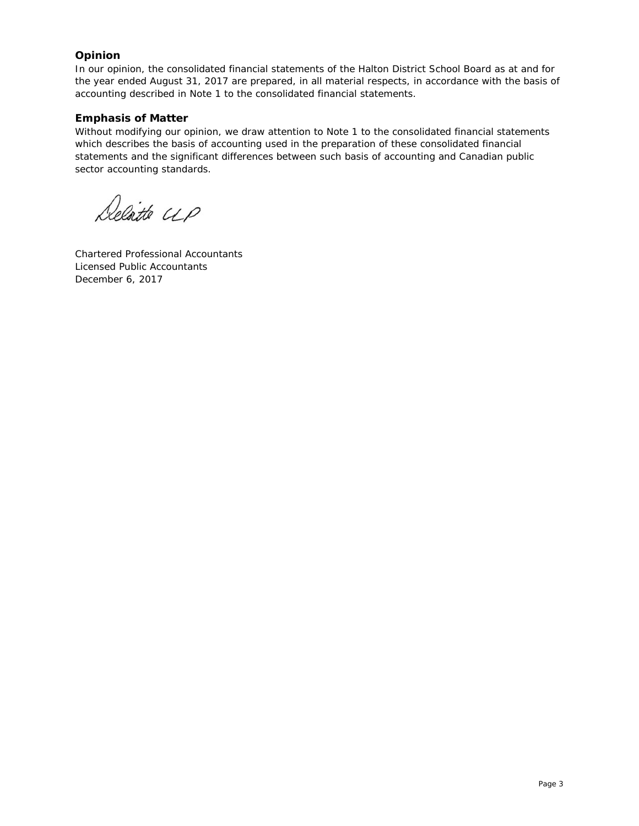# **Opinion**

In our opinion, the consolidated financial statements of the Halton District School Board as at and for the year ended August 31, 2017 are prepared, in all material respects, in accordance with the basis of accounting described in Note 1 to the consolidated financial statements.

# **Emphasis of Matter**

Without modifying our opinion, we draw attention to Note 1 to the consolidated financial statements which describes the basis of accounting used in the preparation of these consolidated financial statements and the significant differences between such basis of accounting and Canadian public sector accounting standards.

Delatte UP

Chartered Professional Accountants Licensed Public Accountants December 6, 2017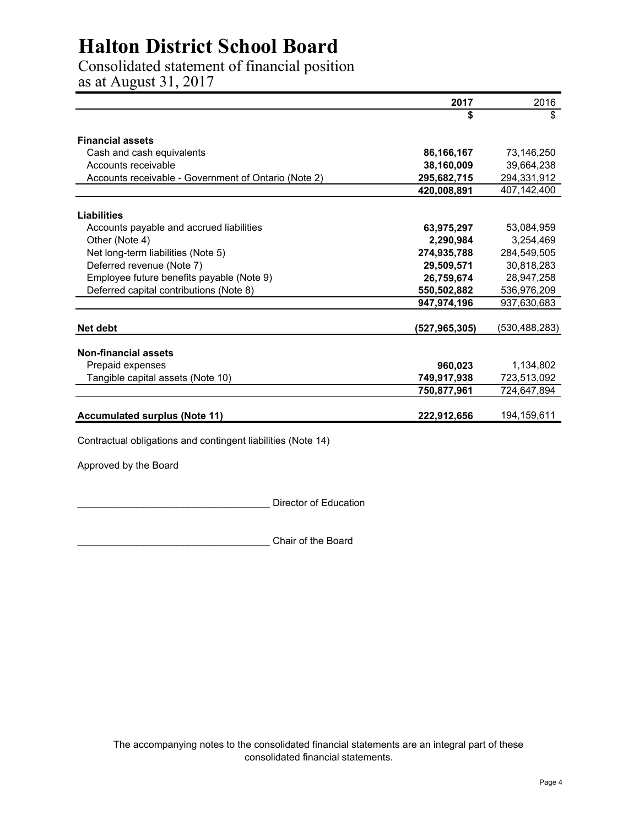# Consolidated statement of financial position

as at August 31, 2017

|                                                              | 2017          | 2016            |
|--------------------------------------------------------------|---------------|-----------------|
|                                                              | \$            | \$              |
| <b>Financial assets</b>                                      |               |                 |
| Cash and cash equivalents                                    | 86,166,167    | 73,146,250      |
| Accounts receivable                                          | 38,160,009    | 39,664,238      |
| Accounts receivable - Government of Ontario (Note 2)         | 295,682,715   | 294,331,912     |
|                                                              | 420,008,891   | 407,142,400     |
| <b>Liabilities</b>                                           |               |                 |
| Accounts payable and accrued liabilities                     | 63,975,297    | 53,084,959      |
| Other (Note 4)                                               | 2,290,984     | 3,254,469       |
| Net long-term liabilities (Note 5)                           | 274.935.788   | 284,549,505     |
| Deferred revenue (Note 7)                                    | 29,509,571    | 30,818,283      |
| Employee future benefits payable (Note 9)                    | 26,759,674    | 28,947,258      |
| Deferred capital contributions (Note 8)                      | 550,502,882   | 536,976,209     |
|                                                              | 947,974,196   | 937,630,683     |
| Net debt                                                     | (527,965,305) | (530, 488, 283) |
| <b>Non-financial assets</b>                                  |               |                 |
| Prepaid expenses                                             | 960,023       | 1,134,802       |
| Tangible capital assets (Note 10)                            | 749,917,938   | 723,513,092     |
|                                                              | 750,877,961   | 724,647,894     |
| <b>Accumulated surplus (Note 11)</b>                         | 222,912,656   | 194,159,611     |
| Contractual obligations and contingent liabilities (Note 14) |               |                 |

Approved by the Board

\_\_\_\_\_\_\_\_\_\_\_\_\_\_\_\_\_\_\_\_\_\_\_\_\_\_\_\_\_\_\_\_\_\_\_ Director of Education

\_\_\_\_\_\_\_\_\_\_\_\_\_\_\_\_\_\_\_\_\_\_\_\_\_\_\_\_\_\_\_\_\_\_\_ Chair of the Board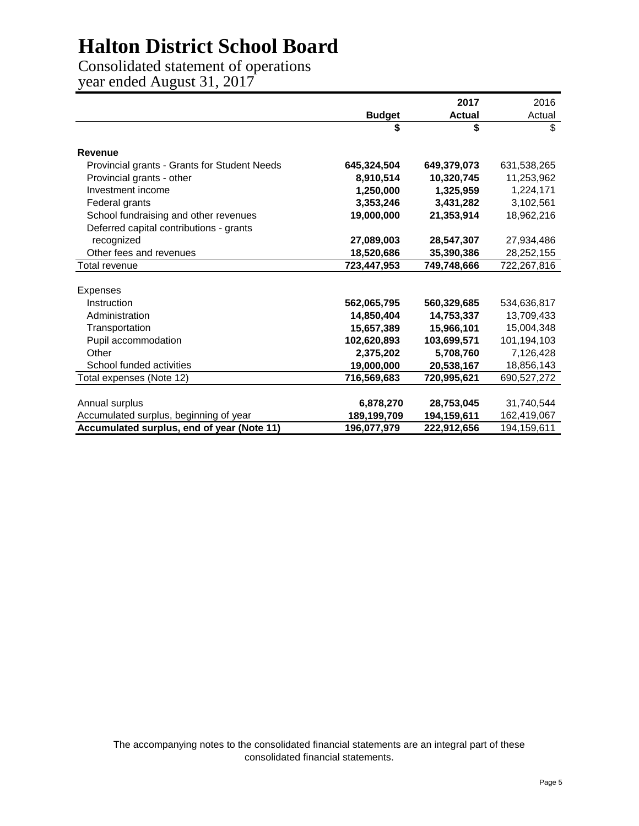Consolidated statement of operations year ended August 31, 2017

|                                              |               | 2017          | 2016        |
|----------------------------------------------|---------------|---------------|-------------|
|                                              | <b>Budget</b> | <b>Actual</b> | Actual      |
|                                              | \$            | \$            | \$          |
|                                              |               |               |             |
| <b>Revenue</b>                               |               |               |             |
| Provincial grants - Grants for Student Needs | 645,324,504   | 649,379,073   | 631,538,265 |
| Provincial grants - other                    | 8,910,514     | 10,320,745    | 11,253,962  |
| Investment income                            | 1,250,000     | 1,325,959     | 1,224,171   |
| Federal grants                               | 3,353,246     | 3,431,282     | 3,102,561   |
| School fundraising and other revenues        | 19,000,000    | 21,353,914    | 18,962,216  |
| Deferred capital contributions - grants      |               |               |             |
| recognized                                   | 27,089,003    | 28,547,307    | 27,934,486  |
| Other fees and revenues                      | 18,520,686    | 35,390,386    | 28,252,155  |
| Total revenue                                | 723,447,953   | 749,748,666   | 722,267,816 |
|                                              |               |               |             |
| Expenses                                     |               |               |             |
| Instruction                                  | 562,065,795   | 560,329,685   | 534,636,817 |
| Administration                               | 14,850,404    | 14,753,337    | 13,709,433  |
| Transportation                               | 15,657,389    | 15,966,101    | 15,004,348  |
| Pupil accommodation                          | 102,620,893   | 103,699,571   | 101,194,103 |
| Other                                        | 2,375,202     | 5,708,760     | 7,126,428   |
| School funded activities                     | 19,000,000    | 20,538,167    | 18,856,143  |
| Total expenses (Note 12)                     | 716,569,683   | 720,995,621   | 690,527,272 |
|                                              |               |               |             |
| Annual surplus                               | 6,878,270     | 28,753,045    | 31,740,544  |
| Accumulated surplus, beginning of year       | 189,199,709   | 194,159,611   | 162,419,067 |
| Accumulated surplus, end of year (Note 11)   | 196,077,979   | 222,912,656   | 194,159,611 |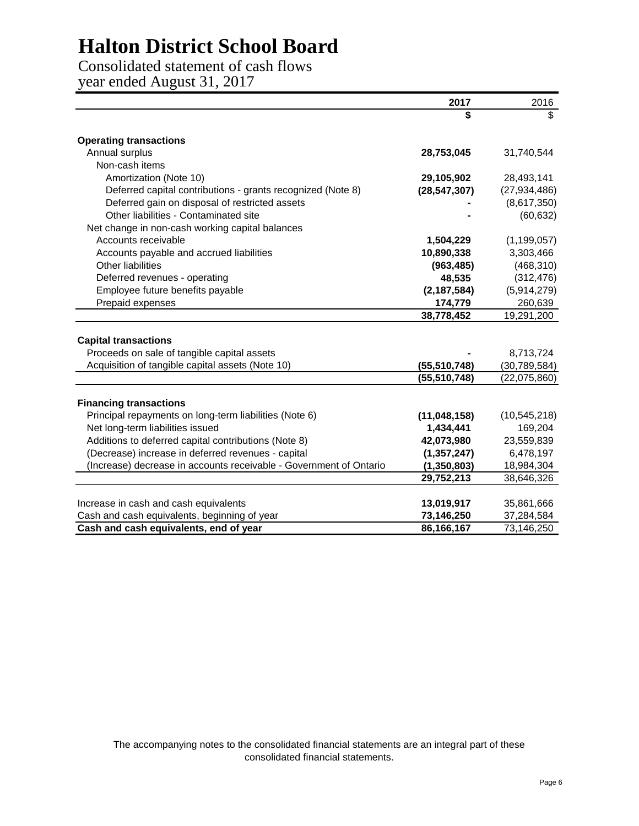Consolidated statement of cash flows

year ended August 31, 2017

|                                                                    | 2017           | 2016           |
|--------------------------------------------------------------------|----------------|----------------|
|                                                                    | \$             | \$.            |
| <b>Operating transactions</b>                                      |                |                |
| Annual surplus                                                     | 28,753,045     | 31,740,544     |
| Non-cash items                                                     |                |                |
| Amortization (Note 10)                                             | 29,105,902     | 28,493,141     |
| Deferred capital contributions - grants recognized (Note 8)        | (28, 547, 307) | (27, 934, 486) |
| Deferred gain on disposal of restricted assets                     |                | (8,617,350)    |
| Other liabilities - Contaminated site                              |                | (60, 632)      |
| Net change in non-cash working capital balances                    |                |                |
| Accounts receivable                                                | 1,504,229      | (1, 199, 057)  |
| Accounts payable and accrued liabilities                           | 10,890,338     | 3,303,466      |
| Other liabilities                                                  | (963, 485)     | (468, 310)     |
| Deferred revenues - operating                                      | 48,535         | (312, 476)     |
| Employee future benefits payable                                   | (2, 187, 584)  | (5,914,279)    |
| Prepaid expenses                                                   | 174,779        | 260,639        |
|                                                                    | 38,778,452     | 19,291,200     |
|                                                                    |                |                |
| <b>Capital transactions</b>                                        |                |                |
| Proceeds on sale of tangible capital assets                        |                | 8,713,724      |
| Acquisition of tangible capital assets (Note 10)                   | (55, 510, 748) | (30, 789, 584) |
|                                                                    | (55, 510, 748) | (22,075,860)   |
| <b>Financing transactions</b>                                      |                |                |
| Principal repayments on long-term liabilities (Note 6)             | (11,048,158)   | (10, 545, 218) |
| Net long-term liabilities issued                                   | 1,434,441      | 169,204        |
| Additions to deferred capital contributions (Note 8)               | 42,073,980     | 23,559,839     |
| (Decrease) increase in deferred revenues - capital                 | (1, 357, 247)  | 6,478,197      |
| (Increase) decrease in accounts receivable - Government of Ontario | (1, 350, 803)  | 18,984,304     |
|                                                                    | 29,752,213     | 38,646,326     |
|                                                                    |                |                |
| Increase in cash and cash equivalents                              | 13,019,917     | 35,861,666     |
| Cash and cash equivalents, beginning of year                       | 73,146,250     | 37,284,584     |
| Cash and cash equivalents, end of year                             | 86,166,167     | 73,146,250     |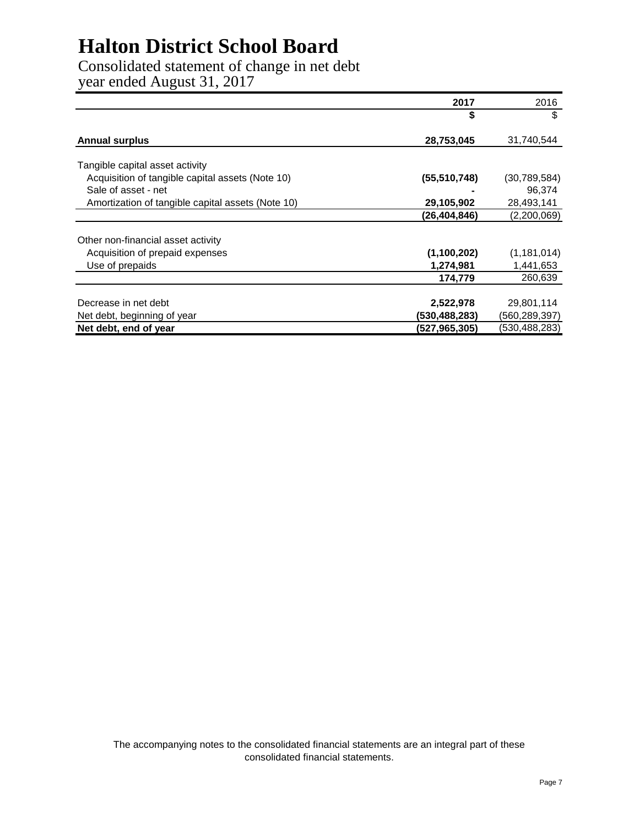Consolidated statement of change in net debt

year ended August 31, 2017

|                                                   | 2017            | 2016           |
|---------------------------------------------------|-----------------|----------------|
|                                                   | \$              | \$             |
| <b>Annual surplus</b>                             | 28,753,045      | 31,740,544     |
| Tangible capital asset activity                   |                 |                |
| Acquisition of tangible capital assets (Note 10)  | (55, 510, 748)  | (30, 789, 584) |
| Sale of asset - net                               |                 | 96.374         |
| Amortization of tangible capital assets (Note 10) | 29,105,902      | 28,493,141     |
|                                                   | (26,404,846)    | (2,200,069)    |
| Other non-financial asset activity                |                 |                |
| Acquisition of prepaid expenses                   | (1,100,202)     | (1, 181, 014)  |
| Use of prepaids                                   | 1,274,981       | 1,441,653      |
|                                                   | 174,779         | 260,639        |
|                                                   |                 |                |
| Decrease in net debt                              | 2,522,978       | 29,801,114     |
| Net debt, beginning of year                       | (530,488,283)   | (560,289,397)  |
| Net debt, end of year                             | (527, 965, 305) | (530,488,283)  |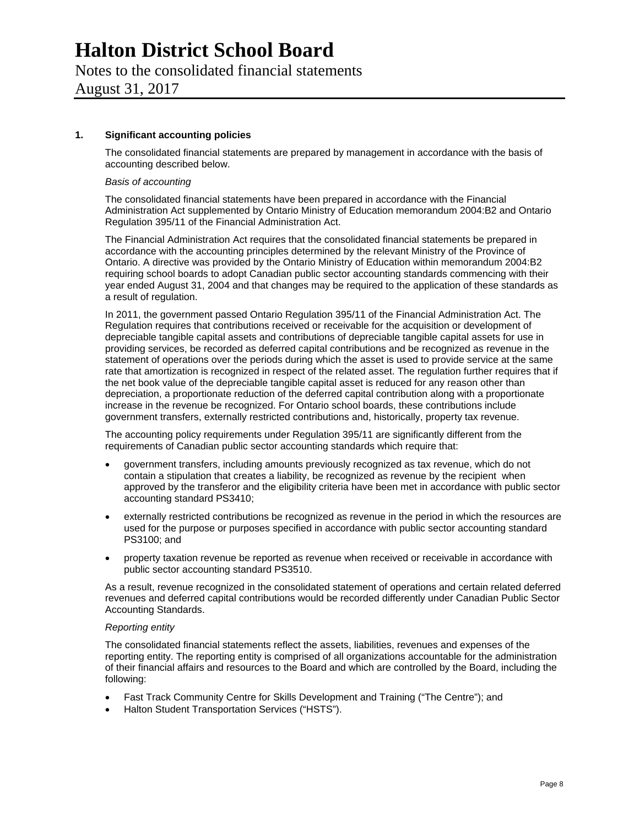# Notes to the consolidated financial statements

August 31, 2017

### **1. Significant accounting policies**

The consolidated financial statements are prepared by management in accordance with the basis of accounting described below.

#### *Basis of accounting*

The consolidated financial statements have been prepared in accordance with the Financial Administration Act supplemented by Ontario Ministry of Education memorandum 2004:B2 and Ontario Regulation 395/11 of the Financial Administration Act.

The Financial Administration Act requires that the consolidated financial statements be prepared in accordance with the accounting principles determined by the relevant Ministry of the Province of Ontario. A directive was provided by the Ontario Ministry of Education within memorandum 2004:B2 requiring school boards to adopt Canadian public sector accounting standards commencing with their year ended August 31, 2004 and that changes may be required to the application of these standards as a result of regulation.

In 2011, the government passed Ontario Regulation 395/11 of the Financial Administration Act. The Regulation requires that contributions received or receivable for the acquisition or development of depreciable tangible capital assets and contributions of depreciable tangible capital assets for use in providing services, be recorded as deferred capital contributions and be recognized as revenue in the statement of operations over the periods during which the asset is used to provide service at the same rate that amortization is recognized in respect of the related asset. The regulation further requires that if the net book value of the depreciable tangible capital asset is reduced for any reason other than depreciation, a proportionate reduction of the deferred capital contribution along with a proportionate increase in the revenue be recognized. For Ontario school boards, these contributions include government transfers, externally restricted contributions and, historically, property tax revenue.

The accounting policy requirements under Regulation 395/11 are significantly different from the requirements of Canadian public sector accounting standards which require that:

- government transfers, including amounts previously recognized as tax revenue, which do not contain a stipulation that creates a liability, be recognized as revenue by the recipient when approved by the transferor and the eligibility criteria have been met in accordance with public sector accounting standard PS3410;
- externally restricted contributions be recognized as revenue in the period in which the resources are used for the purpose or purposes specified in accordance with public sector accounting standard PS3100; and
- property taxation revenue be reported as revenue when received or receivable in accordance with public sector accounting standard PS3510.

As a result, revenue recognized in the consolidated statement of operations and certain related deferred revenues and deferred capital contributions would be recorded differently under Canadian Public Sector Accounting Standards.

### *Reporting entity*

The consolidated financial statements reflect the assets, liabilities, revenues and expenses of the reporting entity. The reporting entity is comprised of all organizations accountable for the administration of their financial affairs and resources to the Board and which are controlled by the Board, including the following:

- Fast Track Community Centre for Skills Development and Training ("The Centre"); and
- Halton Student Transportation Services ("HSTS").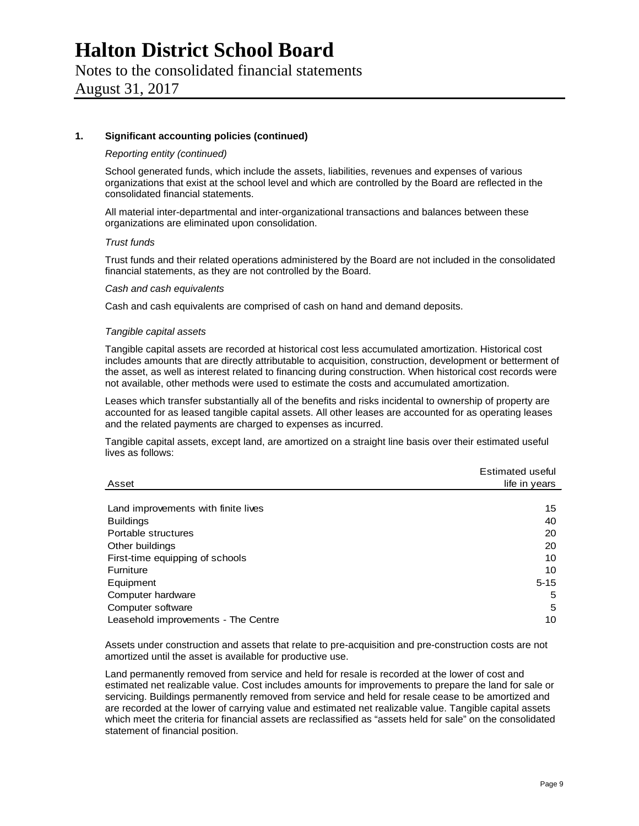Notes to the consolidated financial statements

August 31, 2017

### **1. Significant accounting policies (continued)**

#### *Reporting entity (continued)*

School generated funds, which include the assets, liabilities, revenues and expenses of various organizations that exist at the school level and which are controlled by the Board are reflected in the consolidated financial statements.

All material inter-departmental and inter-organizational transactions and balances between these organizations are eliminated upon consolidation.

#### *Trust funds*

Trust funds and their related operations administered by the Board are not included in the consolidated financial statements, as they are not controlled by the Board.

#### *Cash and cash equivalents*

Cash and cash equivalents are comprised of cash on hand and demand deposits.

#### *Tangible capital assets*

Tangible capital assets are recorded at historical cost less accumulated amortization. Historical cost includes amounts that are directly attributable to acquisition, construction, development or betterment of the asset, as well as interest related to financing during construction. When historical cost records were not available, other methods were used to estimate the costs and accumulated amortization.

Leases which transfer substantially all of the benefits and risks incidental to ownership of property are accounted for as leased tangible capital assets. All other leases are accounted for as operating leases and the related payments are charged to expenses as incurred.

Tangible capital assets, except land, are amortized on a straight line basis over their estimated useful lives as follows:

|                                     | Estimated useful |
|-------------------------------------|------------------|
| Asset                               | life in years    |
|                                     |                  |
| Land improvements with finite lives | 15               |
| <b>Buildings</b>                    | 40               |
| Portable structures                 | 20               |
| Other buildings                     | 20               |
| First-time equipping of schools     | 10               |
| Furniture                           | 10               |
| Equipment                           | $5 - 15$         |
| Computer hardware                   | 5                |
| Computer software                   | 5                |
| Leasehold improvements - The Centre | 10               |

Assets under construction and assets that relate to pre-acquisition and pre-construction costs are not amortized until the asset is available for productive use.

Land permanently removed from service and held for resale is recorded at the lower of cost and estimated net realizable value. Cost includes amounts for improvements to prepare the land for sale or servicing. Buildings permanently removed from service and held for resale cease to be amortized and are recorded at the lower of carrying value and estimated net realizable value. Tangible capital assets which meet the criteria for financial assets are reclassified as "assets held for sale" on the consolidated statement of financial position.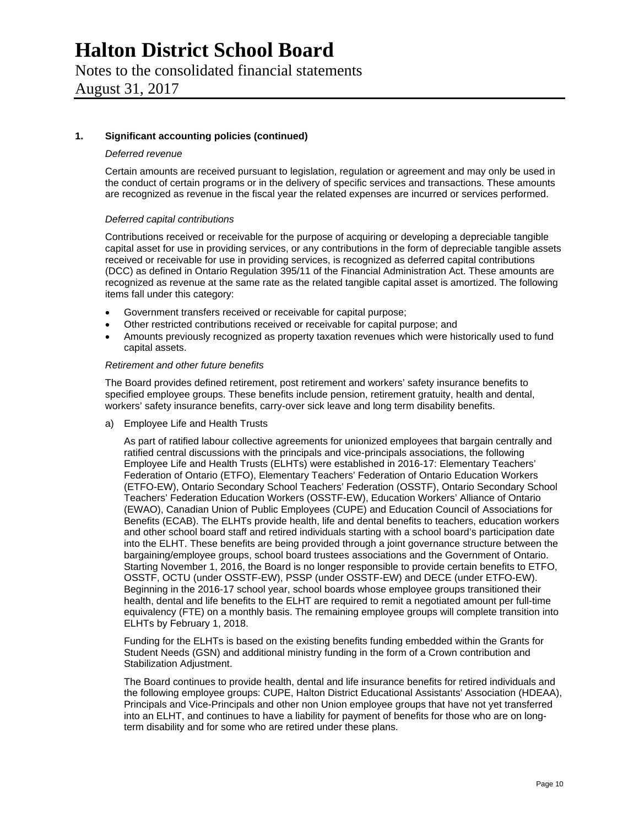Notes to the consolidated financial statements

August 31, 2017

### **1. Significant accounting policies (continued)**

#### *Deferred revenue*

Certain amounts are received pursuant to legislation, regulation or agreement and may only be used in the conduct of certain programs or in the delivery of specific services and transactions. These amounts are recognized as revenue in the fiscal year the related expenses are incurred or services performed.

### *Deferred capital contributions*

Contributions received or receivable for the purpose of acquiring or developing a depreciable tangible capital asset for use in providing services, or any contributions in the form of depreciable tangible assets received or receivable for use in providing services, is recognized as deferred capital contributions (DCC) as defined in Ontario Regulation 395/11 of the Financial Administration Act. These amounts are recognized as revenue at the same rate as the related tangible capital asset is amortized. The following items fall under this category:

- Government transfers received or receivable for capital purpose;
- Other restricted contributions received or receivable for capital purpose; and
- Amounts previously recognized as property taxation revenues which were historically used to fund capital assets.

#### *Retirement and other future benefits*

The Board provides defined retirement, post retirement and workers' safety insurance benefits to specified employee groups. These benefits include pension, retirement gratuity, health and dental, workers' safety insurance benefits, carry-over sick leave and long term disability benefits.

a) Employee Life and Health Trusts

As part of ratified labour collective agreements for unionized employees that bargain centrally and ratified central discussions with the principals and vice-principals associations, the following Employee Life and Health Trusts (ELHTs) were established in 2016-17: Elementary Teachers' Federation of Ontario (ETFO), Elementary Teachers' Federation of Ontario Education Workers (ETFO-EW), Ontario Secondary School Teachers' Federation (OSSTF), Ontario Secondary School Teachers' Federation Education Workers (OSSTF-EW), Education Workers' Alliance of Ontario (EWAO), Canadian Union of Public Employees (CUPE) and Education Council of Associations for Benefits (ECAB). The ELHTs provide health, life and dental benefits to teachers, education workers and other school board staff and retired individuals starting with a school board's participation date into the ELHT. These benefits are being provided through a joint governance structure between the bargaining/employee groups, school board trustees associations and the Government of Ontario. Starting November 1, 2016, the Board is no longer responsible to provide certain benefits to ETFO, OSSTF, OCTU (under OSSTF-EW), PSSP (under OSSTF-EW) and DECE (under ETFO-EW). Beginning in the 2016-17 school year, school boards whose employee groups transitioned their health, dental and life benefits to the ELHT are required to remit a negotiated amount per full-time equivalency (FTE) on a monthly basis. The remaining employee groups will complete transition into ELHTs by February 1, 2018.

Funding for the ELHTs is based on the existing benefits funding embedded within the Grants for Student Needs (GSN) and additional ministry funding in the form of a Crown contribution and Stabilization Adjustment.

The Board continues to provide health, dental and life insurance benefits for retired individuals and the following employee groups: CUPE, Halton District Educational Assistants' Association (HDEAA), Principals and Vice-Principals and other non Union employee groups that have not yet transferred into an ELHT, and continues to have a liability for payment of benefits for those who are on longterm disability and for some who are retired under these plans.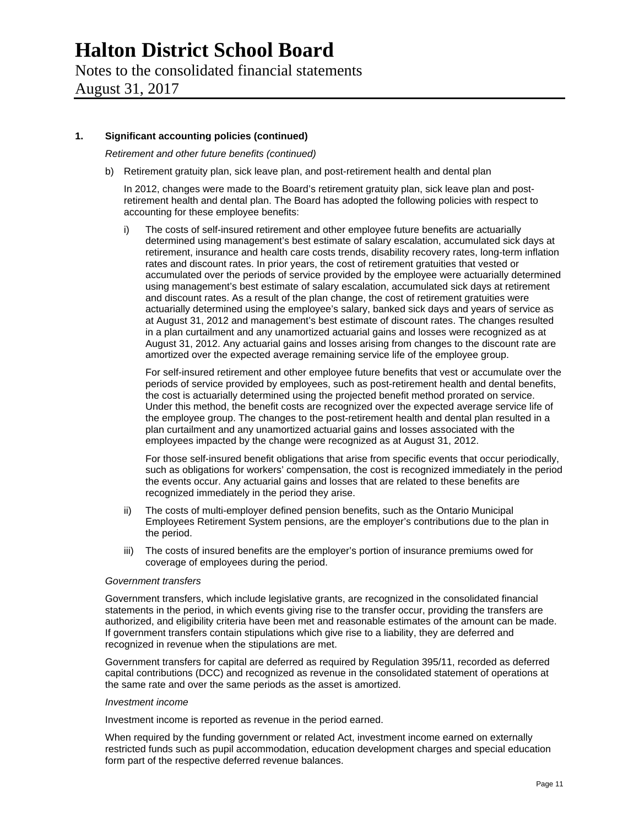Notes to the consolidated financial statements

August 31, 2017

### **1. Significant accounting policies (continued)**

*Retirement and other future benefits (continued)*

b) Retirement gratuity plan, sick leave plan, and post-retirement health and dental plan

In 2012, changes were made to the Board's retirement gratuity plan, sick leave plan and postretirement health and dental plan. The Board has adopted the following policies with respect to accounting for these employee benefits:

i) The costs of self-insured retirement and other employee future benefits are actuarially determined using management's best estimate of salary escalation, accumulated sick days at retirement, insurance and health care costs trends, disability recovery rates, long-term inflation rates and discount rates. In prior years, the cost of retirement gratuities that vested or accumulated over the periods of service provided by the employee were actuarially determined using management's best estimate of salary escalation, accumulated sick days at retirement and discount rates. As a result of the plan change, the cost of retirement gratuities were actuarially determined using the employee's salary, banked sick days and years of service as at August 31, 2012 and management's best estimate of discount rates. The changes resulted in a plan curtailment and any unamortized actuarial gains and losses were recognized as at August 31, 2012. Any actuarial gains and losses arising from changes to the discount rate are amortized over the expected average remaining service life of the employee group.

For self-insured retirement and other employee future benefits that vest or accumulate over the periods of service provided by employees, such as post-retirement health and dental benefits, the cost is actuarially determined using the projected benefit method prorated on service. Under this method, the benefit costs are recognized over the expected average service life of the employee group. The changes to the post-retirement health and dental plan resulted in a plan curtailment and any unamortized actuarial gains and losses associated with the employees impacted by the change were recognized as at August 31, 2012.

For those self-insured benefit obligations that arise from specific events that occur periodically, such as obligations for workers' compensation, the cost is recognized immediately in the period the events occur. Any actuarial gains and losses that are related to these benefits are recognized immediately in the period they arise.

- ii) The costs of multi-employer defined pension benefits, such as the Ontario Municipal Employees Retirement System pensions, are the employer's contributions due to the plan in the period.
- iii) The costs of insured benefits are the employer's portion of insurance premiums owed for coverage of employees during the period.

#### *Government transfers*

Government transfers, which include legislative grants, are recognized in the consolidated financial statements in the period, in which events giving rise to the transfer occur, providing the transfers are authorized, and eligibility criteria have been met and reasonable estimates of the amount can be made. If government transfers contain stipulations which give rise to a liability, they are deferred and recognized in revenue when the stipulations are met.

Government transfers for capital are deferred as required by Regulation 395/11, recorded as deferred capital contributions (DCC) and recognized as revenue in the consolidated statement of operations at the same rate and over the same periods as the asset is amortized.

#### *Investment income*

Investment income is reported as revenue in the period earned.

When required by the funding government or related Act, investment income earned on externally restricted funds such as pupil accommodation, education development charges and special education form part of the respective deferred revenue balances.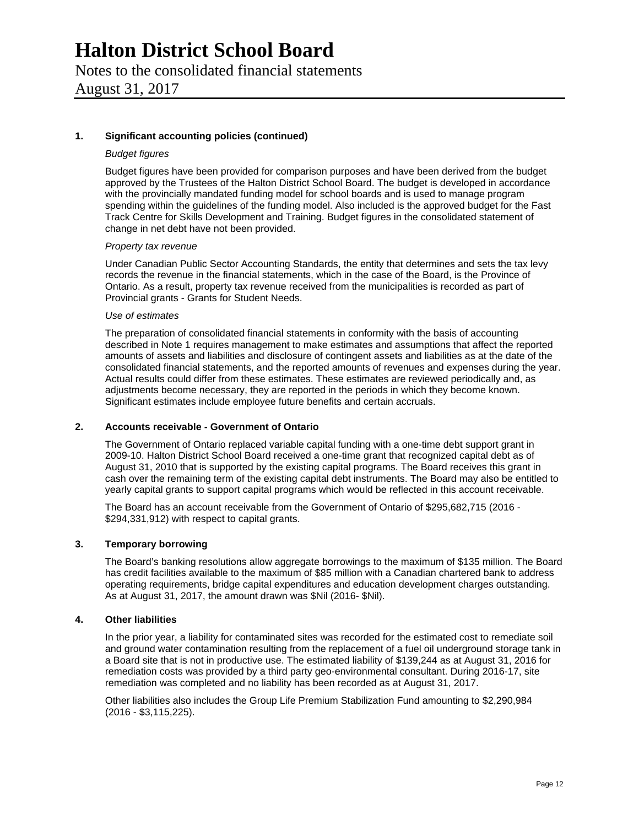Notes to the consolidated financial statements

August 31, 2017

### **1. Significant accounting policies (continued)**

#### *Budget figures*

Budget figures have been provided for comparison purposes and have been derived from the budget approved by the Trustees of the Halton District School Board. The budget is developed in accordance with the provincially mandated funding model for school boards and is used to manage program spending within the guidelines of the funding model. Also included is the approved budget for the Fast Track Centre for Skills Development and Training. Budget figures in the consolidated statement of change in net debt have not been provided.

#### *Property tax revenue*

Under Canadian Public Sector Accounting Standards, the entity that determines and sets the tax levy records the revenue in the financial statements, which in the case of the Board, is the Province of Ontario. As a result, property tax revenue received from the municipalities is recorded as part of Provincial grants - Grants for Student Needs.

#### *Use of estimates*

The preparation of consolidated financial statements in conformity with the basis of accounting described in Note 1 requires management to make estimates and assumptions that affect the reported amounts of assets and liabilities and disclosure of contingent assets and liabilities as at the date of the consolidated financial statements, and the reported amounts of revenues and expenses during the year. Actual results could differ from these estimates. These estimates are reviewed periodically and, as adjustments become necessary, they are reported in the periods in which they become known. Significant estimates include employee future benefits and certain accruals.

### **2. Accounts receivable - Government of Ontario**

The Government of Ontario replaced variable capital funding with a one-time debt support grant in 2009-10. Halton District School Board received a one-time grant that recognized capital debt as of August 31, 2010 that is supported by the existing capital programs. The Board receives this grant in cash over the remaining term of the existing capital debt instruments. The Board may also be entitled to yearly capital grants to support capital programs which would be reflected in this account receivable.

The Board has an account receivable from the Government of Ontario of \$295,682,715 (2016 - \$294,331,912) with respect to capital grants.

### **3. Temporary borrowing**

The Board's banking resolutions allow aggregate borrowings to the maximum of \$135 million. The Board has credit facilities available to the maximum of \$85 million with a Canadian chartered bank to address operating requirements, bridge capital expenditures and education development charges outstanding. As at August 31, 2017, the amount drawn was \$Nil (2016- \$Nil).

### **4. Other liabilities**

In the prior year, a liability for contaminated sites was recorded for the estimated cost to remediate soil and ground water contamination resulting from the replacement of a fuel oil underground storage tank in a Board site that is not in productive use. The estimated liability of \$139,244 as at August 31, 2016 for remediation costs was provided by a third party geo-environmental consultant. During 2016-17, site remediation was completed and no liability has been recorded as at August 31, 2017.

Other liabilities also includes the Group Life Premium Stabilization Fund amounting to \$2,290,984 (2016 - \$3,115,225).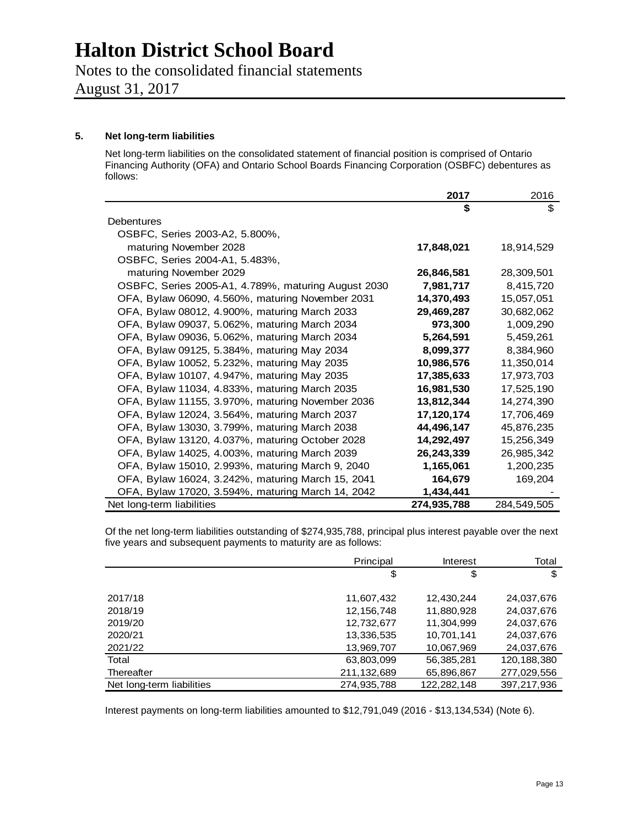Notes to the consolidated financial statements

August 31, 2017

# **5. Net long-term liabilities**

Net long-term liabilities on the consolidated statement of financial position is comprised of Ontario Financing Authority (OFA) and Ontario School Boards Financing Corporation (OSBFC) debentures as follows:

|                                                     | 2017        | 2016        |
|-----------------------------------------------------|-------------|-------------|
|                                                     | \$          | \$          |
| Debentures                                          |             |             |
| OSBFC, Series 2003-A2, 5.800%,                      |             |             |
| maturing November 2028                              | 17,848,021  | 18,914,529  |
| OSBFC, Series 2004-A1, 5.483%,                      |             |             |
| maturing November 2029                              | 26,846,581  | 28,309,501  |
| OSBFC, Series 2005-A1, 4.789%, maturing August 2030 | 7,981,717   | 8,415,720   |
| OFA, Bylaw 06090, 4.560%, maturing November 2031    | 14,370,493  | 15,057,051  |
| OFA, Bylaw 08012, 4.900%, maturing March 2033       | 29,469,287  | 30,682,062  |
| OFA, Bylaw 09037, 5.062%, maturing March 2034       | 973,300     | 1,009,290   |
| OFA, Bylaw 09036, 5.062%, maturing March 2034       | 5,264,591   | 5,459,261   |
| OFA, Bylaw 09125, 5.384%, maturing May 2034         | 8,099,377   | 8,384,960   |
| OFA, Bylaw 10052, 5.232%, maturing May 2035         | 10,986,576  | 11,350,014  |
| OFA, Bylaw 10107, 4.947%, maturing May 2035         | 17,385,633  | 17,973,703  |
| OFA, Bylaw 11034, 4.833%, maturing March 2035       | 16,981,530  | 17,525,190  |
| OFA, Bylaw 11155, 3.970%, maturing November 2036    | 13,812,344  | 14,274,390  |
| OFA, Bylaw 12024, 3.564%, maturing March 2037       | 17,120,174  | 17,706,469  |
| OFA, Bylaw 13030, 3.799%, maturing March 2038       | 44,496,147  | 45,876,235  |
| OFA, Bylaw 13120, 4.037%, maturing October 2028     | 14,292,497  | 15,256,349  |
| OFA, Bylaw 14025, 4.003%, maturing March 2039       | 26,243,339  | 26,985,342  |
| OFA, Bylaw 15010, 2.993%, maturing March 9, 2040    | 1,165,061   | 1,200,235   |
| OFA, Bylaw 16024, 3.242%, maturing March 15, 2041   | 164,679     | 169,204     |
| OFA, Bylaw 17020, 3.594%, maturing March 14, 2042   | 1,434,441   |             |
| Net long-term liabilities                           | 274,935,788 | 284,549,505 |

Of the net long-term liabilities outstanding of \$274,935,788, principal plus interest payable over the next five years and subsequent payments to maturity are as follows:

|                           | Principal<br>Interest |             | Total       |  |
|---------------------------|-----------------------|-------------|-------------|--|
|                           | \$                    | \$          | \$          |  |
|                           |                       |             |             |  |
| 2017/18                   | 11,607,432            | 12,430,244  | 24,037,676  |  |
| 2018/19                   | 12, 156, 748          | 11,880,928  | 24,037,676  |  |
| 2019/20                   | 12,732,677            | 11,304,999  | 24,037,676  |  |
| 2020/21                   | 13,336,535            | 10,701,141  | 24,037,676  |  |
| 2021/22                   | 13,969,707            | 10,067,969  | 24,037,676  |  |
| Total                     | 63,803,099            | 56,385,281  | 120,188,380 |  |
| Thereafter                | 211,132,689           | 65,896,867  | 277,029,556 |  |
| Net long-term liabilities | 274,935,788           | 122,282,148 | 397.217.936 |  |

Interest payments on long-term liabilities amounted to \$12,791,049 (2016 - \$13,134,534) (Note 6).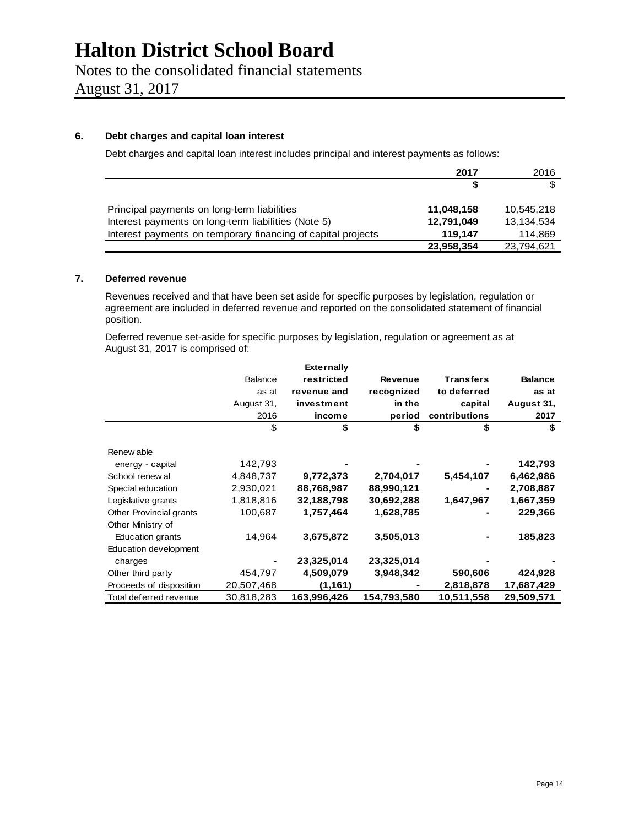Notes to the consolidated financial statements

August 31, 2017

# **6. Debt charges and capital loan interest**

Debt charges and capital loan interest includes principal and interest payments as follows:

|                                                              | 2017       | 2016       |
|--------------------------------------------------------------|------------|------------|
|                                                              | S          |            |
|                                                              |            |            |
| Principal payments on long-term liabilities                  | 11,048,158 | 10,545,218 |
| Interest payments on long-term liabilities (Note 5)          | 12,791,049 | 13,134,534 |
| Interest payments on temporary financing of capital projects | 119.147    | 114,869    |
|                                                              | 23,958,354 | 23,794,621 |

### **7. Deferred revenue**

Revenues received and that have been set aside for specific purposes by legislation, regulation or agreement are included in deferred revenue and reported on the consolidated statement of financial position.

Deferred revenue set-aside for specific purposes by legislation, regulation or agreement as at August 31, 2017 is comprised of:

|                         |                | <b>Externally</b> |                |                  |                |
|-------------------------|----------------|-------------------|----------------|------------------|----------------|
|                         | <b>Balance</b> | restricted        | <b>Revenue</b> | <b>Transfers</b> | <b>Balance</b> |
|                         | as at          | revenue and       | recognized     | to deferred      | as at          |
|                         | August 31,     | investment        | in the         | capital          | August 31,     |
|                         | 2016           | income            | period         | contributions    | 2017           |
|                         | \$             | \$                | \$             | \$               | \$             |
| Renew able              |                |                   |                |                  |                |
| energy - capital        | 142,793        |                   |                |                  | 142,793        |
| School renew al         | 4,848,737      | 9,772,373         | 2,704,017      | 5,454,107        | 6,462,986      |
| Special education       | 2,930,021      | 88,768,987        | 88,990,121     |                  | 2,708,887      |
| Legislative grants      | 1,818,816      | 32,188,798        | 30,692,288     | 1,647,967        | 1,667,359      |
| Other Provincial grants | 100,687        | 1,757,464         | 1,628,785      |                  | 229,366        |
| Other Ministry of       |                |                   |                |                  |                |
| Education grants        | 14,964         | 3,675,872         | 3,505,013      |                  | 185,823        |
| Education development   |                |                   |                |                  |                |
| charges                 |                | 23,325,014        | 23,325,014     |                  |                |
| Other third party       | 454,797        | 4,509,079         | 3,948,342      | 590,606          | 424,928        |
| Proceeds of disposition | 20,507,468     | (1, 161)          |                | 2,818,878        | 17,687,429     |
| Total deferred revenue  | 30,818,283     | 163,996,426       | 154,793,580    | 10,511,558       | 29,509,571     |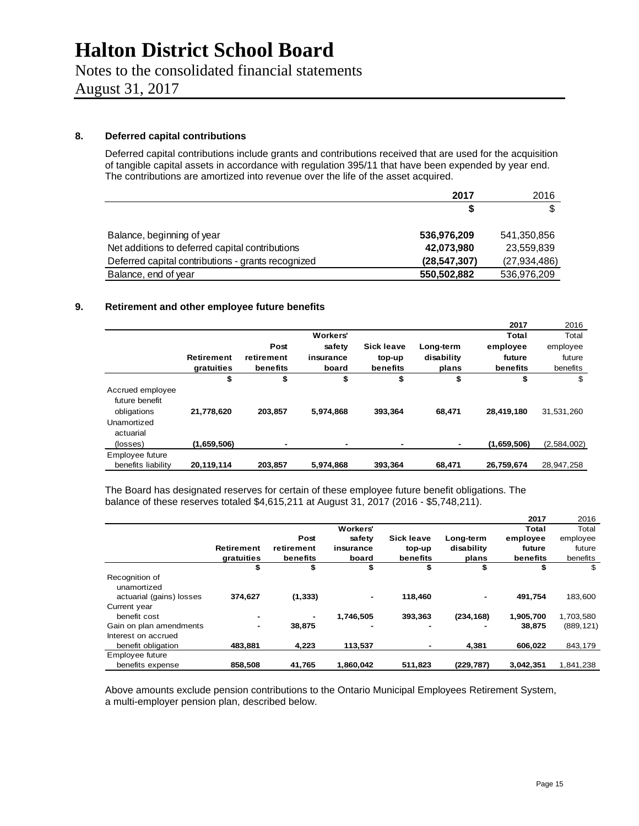# Notes to the consolidated financial statements

August 31, 2017

# **8. Deferred capital contributions**

Deferred capital contributions include grants and contributions received that are used for the acquisition of tangible capital assets in accordance with regulation 395/11 that have been expended by year end. The contributions are amortized into revenue over the life of the asset acquired.

|                                                    | 2017           | 2016           |
|----------------------------------------------------|----------------|----------------|
|                                                    | S              |                |
| Balance, beginning of year                         | 536,976,209    | 541,350,856    |
| Net additions to deferred capital contributions    | 42,073,980     | 23,559,839     |
| Deferred capital contributions - grants recognized | (28, 547, 307) | (27, 934, 486) |
| Balance, end of year                               | 550,502,882    | 536,976,209    |

# **9. Retirement and other employee future benefits**

|                                                   |                   |            |           |                   |            | 2017        | 2016        |
|---------------------------------------------------|-------------------|------------|-----------|-------------------|------------|-------------|-------------|
|                                                   |                   |            | Workers'  |                   |            | Total       | Total       |
|                                                   |                   | Post       | safety    | <b>Sick leave</b> | Long-term  | employee    | employee    |
|                                                   | <b>Retirement</b> | retirement | insurance | top-up            | disability | future      | future      |
|                                                   | gratuities        | benefits   | board     | benefits          | plans      | benefits    | benefits    |
|                                                   | \$                | \$         | \$        | \$                | \$         | \$          | \$          |
| Accrued employee<br>future benefit<br>obligations | 21,778,620        | 203.857    | 5.974.868 | 393.364           | 68.471     | 28,419,180  | 31,531,260  |
| Unamortized<br>actuarial<br>(losses)              | (1,659,506)       |            | ۰         |                   |            | (1,659,506) | (2,584,002) |
| Employee future<br>benefits liability             | 20,119,114        | 203.857    | 5,974,868 | 393.364           | 68,471     | 26,759,674  | 28,947,258  |

The Board has designated reserves for certain of these employee future benefit obligations. The balance of these reserves totaled \$4,615,211 at August 31, 2017 (2016 - \$5,748,211).

|                          |            |            |                 |                   |            | 2017      | 2016       |
|--------------------------|------------|------------|-----------------|-------------------|------------|-----------|------------|
|                          |            |            | <b>Workers'</b> |                   |            | Total     | Total      |
|                          |            | Post       | safety          | <b>Sick leave</b> | Long-term  | employee  | employee   |
|                          | Retirement | retirement | insurance       | top-up            | disability | future    | future     |
|                          | gratuities | benefits   | board           | benefits          | plans      | benefits  | benefits   |
|                          | \$         | \$         | \$              | \$                |            | \$        | \$         |
| Recognition of           |            |            |                 |                   |            |           |            |
| unamortized              |            |            |                 |                   |            |           |            |
| actuarial (gains) losses | 374.627    | (1, 333)   | ۰               | 118.460           | ۰          | 491.754   | 183,600    |
| Current year             |            |            |                 |                   |            |           |            |
| benefit cost             | ۰          | ۰          | 1.746.505       | 393.363           | (234, 168) | 1.905.700 | 1,703,580  |
| Gain on plan amendments  | ۰          | 38.875     |                 |                   |            | 38,875    | (889, 121) |
| Interest on accrued      |            |            |                 |                   |            |           |            |
| benefit obligation       | 483.881    | 4,223      | 113,537         |                   | 4,381      | 606,022   | 843,179    |
| Employee future          |            |            |                 |                   |            |           |            |
| benefits expense         | 858,508    | 41,765     | 1,860,042       | 511,823           | (229, 787) | 3,042,351 | 1,841,238  |

Above amounts exclude pension contributions to the Ontario Municipal Employees Retirement System, a multi-employer pension plan, described below.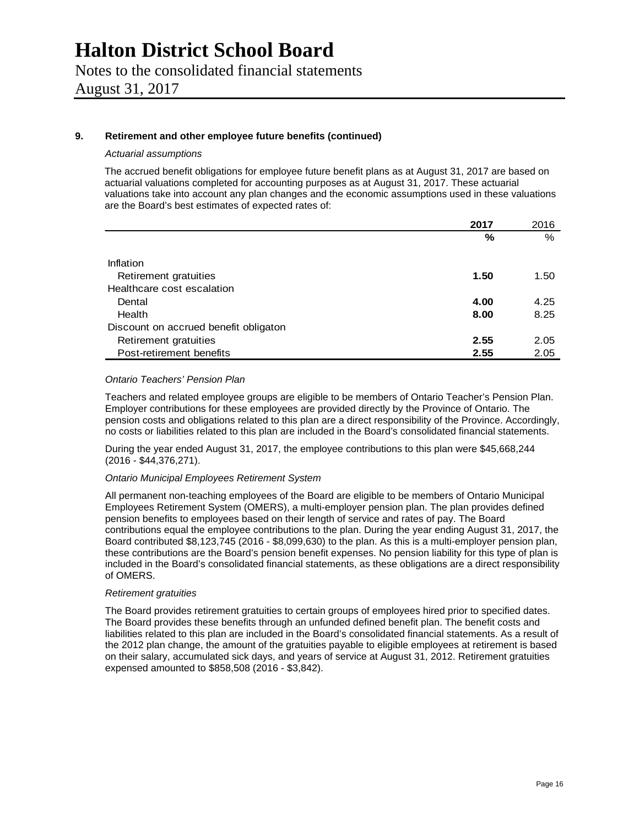August 31, 2017

### **9. Retirement and other employee future benefits (continued)**

#### *Actuarial assumptions*

The accrued benefit obligations for employee future benefit plans as at August 31, 2017 are based on actuarial valuations completed for accounting purposes as at August 31, 2017. These actuarial valuations take into account any plan changes and the economic assumptions used in these valuations are the Board's best estimates of expected rates of:

|                                       | 2017 | 2016 |
|---------------------------------------|------|------|
|                                       | %    | %    |
|                                       |      |      |
| Inflation                             |      |      |
| Retirement gratuities                 | 1.50 | 1.50 |
| Healthcare cost escalation            |      |      |
| Dental                                | 4.00 | 4.25 |
| Health                                | 8.00 | 8.25 |
| Discount on accrued benefit obligaton |      |      |
| Retirement gratuities                 | 2.55 | 2.05 |
| Post-retirement benefits              | 2.55 | 2.05 |

#### *Ontario Teachers' Pension Plan*

Teachers and related employee groups are eligible to be members of Ontario Teacher's Pension Plan. Employer contributions for these employees are provided directly by the Province of Ontario. The pension costs and obligations related to this plan are a direct responsibility of the Province. Accordingly, no costs or liabilities related to this plan are included in the Board's consolidated financial statements.

During the year ended August 31, 2017, the employee contributions to this plan were \$45,668,244 (2016 - \$44,376,271).

### *Ontario Municipal Employees Retirement System*

All permanent non-teaching employees of the Board are eligible to be members of Ontario Municipal Employees Retirement System (OMERS), a multi-employer pension plan. The plan provides defined pension benefits to employees based on their length of service and rates of pay. The Board contributions equal the employee contributions to the plan. During the year ending August 31, 2017, the Board contributed \$8,123,745 (2016 - \$8,099,630) to the plan. As this is a multi-employer pension plan, these contributions are the Board's pension benefit expenses. No pension liability for this type of plan is included in the Board's consolidated financial statements, as these obligations are a direct responsibility of OMERS.

#### *Retirement gratuities*

The Board provides retirement gratuities to certain groups of employees hired prior to specified dates. The Board provides these benefits through an unfunded defined benefit plan. The benefit costs and liabilities related to this plan are included in the Board's consolidated financial statements. As a result of the 2012 plan change, the amount of the gratuities payable to eligible employees at retirement is based on their salary, accumulated sick days, and years of service at August 31, 2012. Retirement gratuities expensed amounted to \$858,508 (2016 - \$3,842).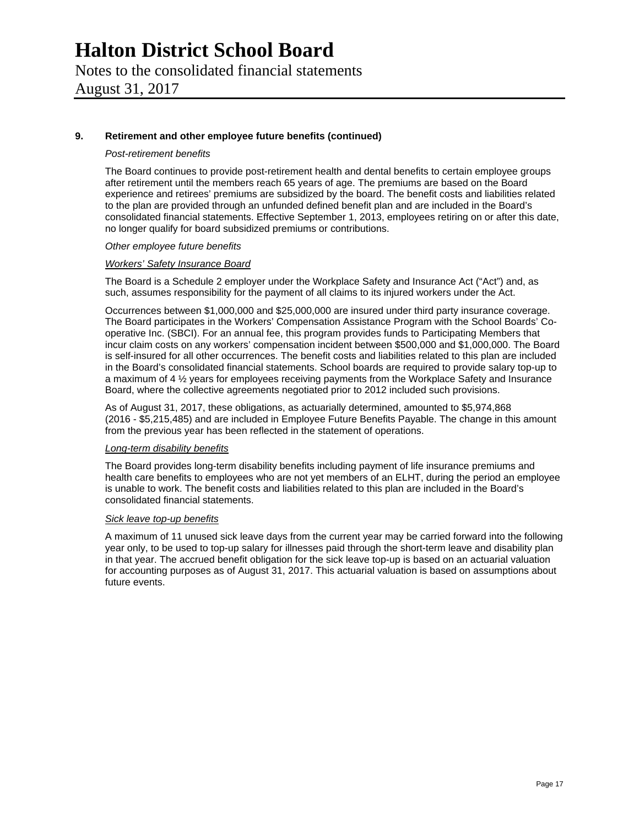Notes to the consolidated financial statements

August 31, 2017

### **9. Retirement and other employee future benefits (continued)**

### *Post-retirement benefits*

The Board continues to provide post-retirement health and dental benefits to certain employee groups after retirement until the members reach 65 years of age. The premiums are based on the Board experience and retirees' premiums are subsidized by the board. The benefit costs and liabilities related to the plan are provided through an unfunded defined benefit plan and are included in the Board's consolidated financial statements. Effective September 1, 2013, employees retiring on or after this date, no longer qualify for board subsidized premiums or contributions.

### *Other employee future benefits*

### *Workers' Safety Insurance Board*

The Board is a Schedule 2 employer under the Workplace Safety and Insurance Act ("Act") and, as such, assumes responsibility for the payment of all claims to its injured workers under the Act.

Occurrences between \$1,000,000 and \$25,000,000 are insured under third party insurance coverage. The Board participates in the Workers' Compensation Assistance Program with the School Boards' Cooperative Inc. (SBCI). For an annual fee, this program provides funds to Participating Members that incur claim costs on any workers' compensation incident between \$500,000 and \$1,000,000. The Board is self-insured for all other occurrences. The benefit costs and liabilities related to this plan are included in the Board's consolidated financial statements. School boards are required to provide salary top-up to a maximum of 4 ½ years for employees receiving payments from the Workplace Safety and Insurance Board, where the collective agreements negotiated prior to 2012 included such provisions.

As of August 31, 2017, these obligations, as actuarially determined, amounted to \$5,974,868 (2016 - \$5,215,485) and are included in Employee Future Benefits Payable. The change in this amount from the previous year has been reflected in the statement of operations.

### *Long-term disability benefits*

The Board provides long-term disability benefits including payment of life insurance premiums and health care benefits to employees who are not yet members of an ELHT, during the period an employee is unable to work. The benefit costs and liabilities related to this plan are included in the Board's consolidated financial statements.

### *Sick leave top-up benefits*

A maximum of 11 unused sick leave days from the current year may be carried forward into the following year only, to be used to top-up salary for illnesses paid through the short-term leave and disability plan in that year. The accrued benefit obligation for the sick leave top-up is based on an actuarial valuation for accounting purposes as of August 31, 2017. This actuarial valuation is based on assumptions about future events.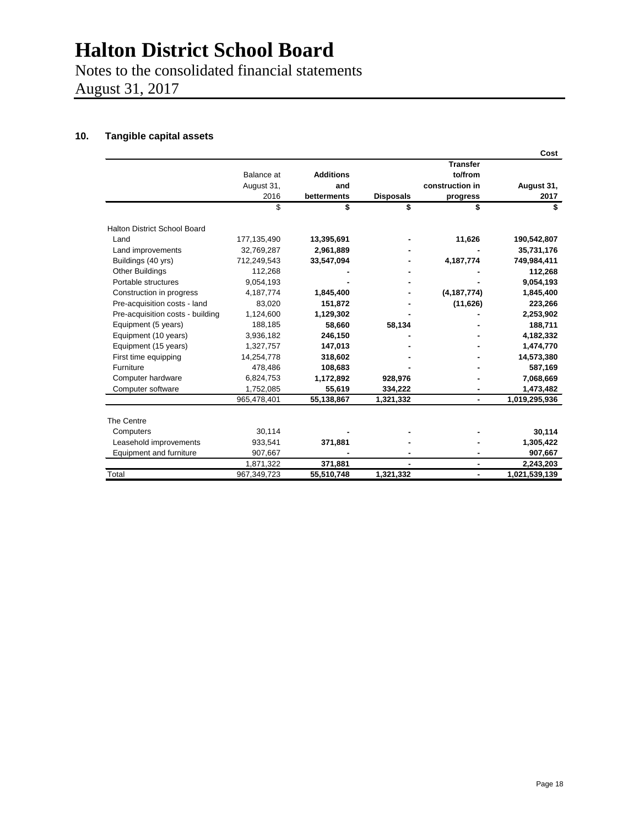Notes to the consolidated financial statements

August 31, 2017

# **10. Tangible capital assets**

|                                     |             |                  |                  |                 | Cost          |
|-------------------------------------|-------------|------------------|------------------|-----------------|---------------|
|                                     |             |                  |                  | <b>Transfer</b> |               |
|                                     | Balance at  | <b>Additions</b> |                  | to/from         |               |
|                                     | August 31,  | and              |                  | construction in | August 31,    |
|                                     | 2016        | betterments      | <b>Disposals</b> | progress        | 2017          |
|                                     | \$          | \$               | S                | \$              | \$            |
| <b>Halton District School Board</b> |             |                  |                  |                 |               |
| Land                                | 177,135,490 | 13,395,691       |                  | 11,626          | 190,542,807   |
| Land improvements                   | 32,769,287  | 2,961,889        |                  |                 | 35,731,176    |
| Buildings (40 yrs)                  | 712,249,543 | 33,547,094       |                  | 4,187,774       | 749,984,411   |
| <b>Other Buildings</b>              | 112,268     |                  |                  |                 | 112,268       |
| Portable structures                 | 9,054,193   |                  |                  |                 | 9,054,193     |
| Construction in progress            | 4,187,774   | 1,845,400        |                  | (4, 187, 774)   | 1,845,400     |
| Pre-acquisition costs - land        | 83,020      | 151,872          |                  | (11, 626)       | 223,266       |
| Pre-acquisition costs - building    | 1,124,600   | 1,129,302        |                  |                 | 2,253,902     |
| Equipment (5 years)                 | 188,185     | 58,660           | 58,134           |                 | 188,711       |
| Equipment (10 years)                | 3,936,182   | 246,150          |                  |                 | 4,182,332     |
| Equipment (15 years)                | 1,327,757   | 147,013          |                  |                 | 1,474,770     |
| First time equipping                | 14,254,778  | 318,602          |                  |                 | 14,573,380    |
| Furniture                           | 478,486     | 108,683          |                  |                 | 587,169       |
| Computer hardware                   | 6,824,753   | 1,172,892        | 928,976          |                 | 7,068,669     |
| Computer software                   | 1,752,085   | 55,619           | 334,222          |                 | 1,473,482     |
|                                     | 965,478,401 | 55,138,867       | 1,321,332        | ٠               | 1,019,295,936 |
| The Centre                          |             |                  |                  |                 |               |
| Computers                           | 30,114      |                  |                  |                 | 30,114        |
| Leasehold improvements              | 933,541     | 371,881          |                  |                 | 1,305,422     |
| Equipment and furniture             | 907,667     |                  |                  |                 | 907,667       |
|                                     | 1,871,322   | 371,881          |                  |                 | 2,243,203     |
| Total                               | 967,349,723 | 55,510,748       | 1,321,332        | ٠               | 1,021,539,139 |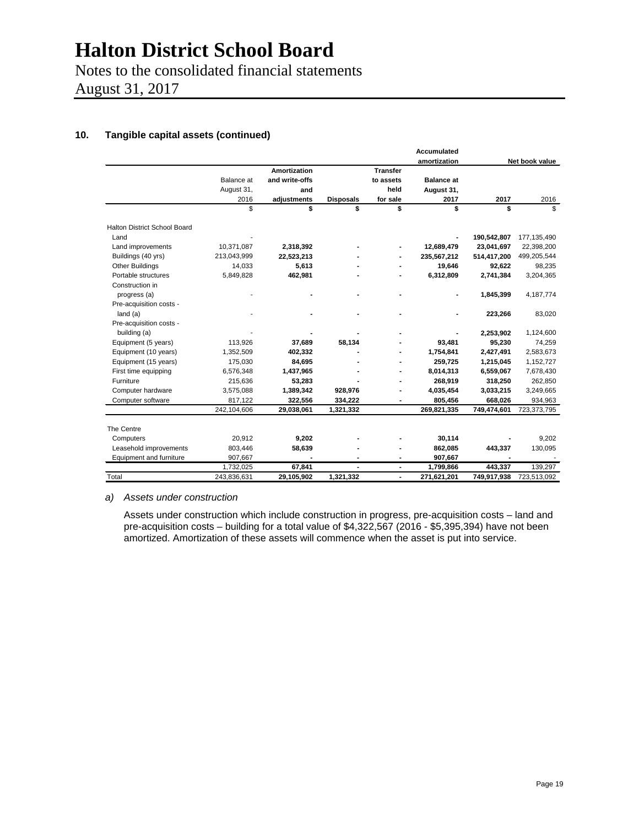Notes to the consolidated financial statements

August 31, 2017

# **10. Tangible capital assets (continued)**

|                                     |             |                |                  |                 | <b>Accumulated</b> |             |                |
|-------------------------------------|-------------|----------------|------------------|-----------------|--------------------|-------------|----------------|
|                                     |             |                |                  |                 | amortization       |             | Net book value |
|                                     |             | Amortization   |                  | <b>Transfer</b> |                    |             |                |
|                                     | Balance at  | and write-offs |                  | to assets       | <b>Balance at</b>  |             |                |
|                                     | August 31,  | and            |                  | held            | August 31,         |             |                |
|                                     | 2016        | adjustments    | <b>Disposals</b> | for sale        | 2017               | 2017        | 2016           |
|                                     | \$          | \$             | \$               | \$              | \$                 | \$          | \$             |
| <b>Halton District School Board</b> |             |                |                  |                 |                    |             |                |
| Land                                |             |                |                  |                 |                    | 190,542,807 | 177, 135, 490  |
| Land improvements                   | 10,371,087  | 2,318,392      |                  |                 | 12,689,479         | 23,041,697  | 22,398,200     |
| Buildings (40 yrs)                  | 213,043,999 | 22,523,213     |                  |                 | 235,567,212        | 514,417,200 | 499,205,544    |
| <b>Other Buildings</b>              | 14,033      | 5,613          |                  |                 | 19,646             | 92,622      | 98,235         |
| Portable structures                 | 5,849,828   | 462,981        |                  |                 | 6,312,809          | 2,741,384   | 3,204,365      |
| Construction in                     |             |                |                  |                 |                    |             |                |
| progress (a)                        |             |                |                  |                 |                    | 1,845,399   | 4,187,774      |
| Pre-acquisition costs -             |             |                |                  |                 |                    |             |                |
| land (a)                            |             |                |                  |                 |                    | 223,266     | 83,020         |
| Pre-acquisition costs -             |             |                |                  |                 |                    |             |                |
| building (a)                        |             |                |                  |                 |                    | 2,253,902   | 1,124,600      |
| Equipment (5 years)                 | 113,926     | 37,689         | 58,134           |                 | 93,481             | 95,230      | 74,259         |
| Equipment (10 years)                | 1,352,509   | 402,332        |                  |                 | 1,754,841          | 2,427,491   | 2,583,673      |
| Equipment (15 years)                | 175,030     | 84,695         |                  |                 | 259,725            | 1,215,045   | 1,152,727      |
| First time equipping                | 6,576,348   | 1,437,965      |                  |                 | 8,014,313          | 6,559,067   | 7,678,430      |
| Furniture                           | 215,636     | 53,283         |                  |                 | 268,919            | 318,250     | 262,850        |
| Computer hardware                   | 3,575,088   | 1,389,342      | 928,976          |                 | 4,035,454          | 3,033,215   | 3,249,665      |
| Computer software                   | 817,122     | 322,556        | 334,222          |                 | 805,456            | 668,026     | 934,963        |
|                                     | 242,104,606 | 29,038,061     | 1,321,332        |                 | 269,821,335        | 749,474,601 | 723,373,795    |
| The Centre                          |             |                |                  |                 |                    |             |                |
| Computers                           | 20.912      | 9,202          |                  |                 | 30,114             |             | 9,202          |
| Leasehold improvements              | 803,446     | 58,639         |                  |                 | 862,085            | 443,337     | 130,095        |
| Equipment and furniture             | 907,667     |                |                  |                 | 907,667            |             |                |
|                                     | 1,732,025   | 67,841         |                  |                 | 1,799,866          | 443,337     | 139,297        |
| Total                               | 243,836,631 | 29,105,902     | 1,321,332        | $\blacksquare$  | 271,621,201        | 749,917,938 | 723,513,092    |

*a) Assets under construction*

Assets under construction which include construction in progress, pre-acquisition costs – land and pre-acquisition costs – building for a total value of \$4,322,567 (2016 - \$5,395,394) have not been amortized. Amortization of these assets will commence when the asset is put into service.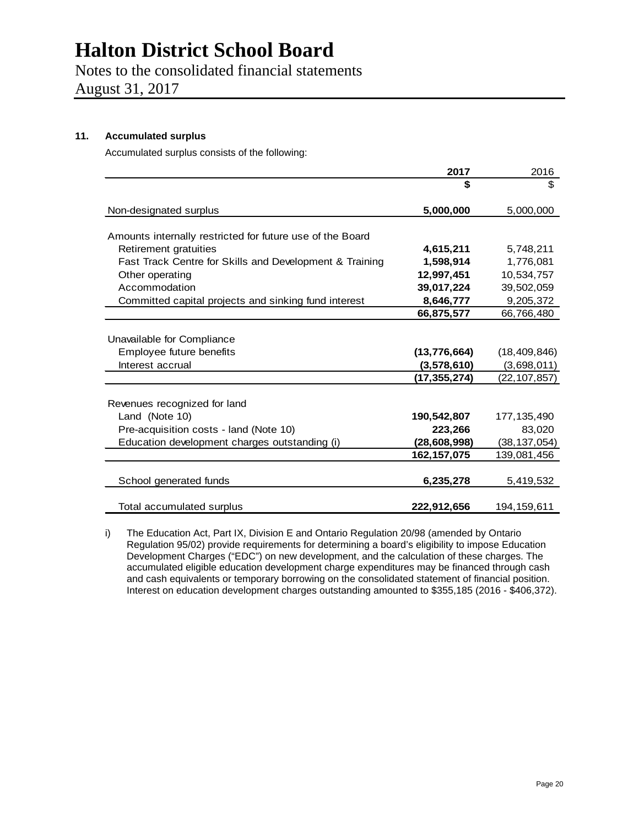Notes to the consolidated financial statements

August 31, 2017

# **11. Accumulated surplus**

Accumulated surplus consists of the following:

|                                                                                    | 2017           | 2016           |
|------------------------------------------------------------------------------------|----------------|----------------|
|                                                                                    | \$             | \$             |
| Non-designated surplus                                                             | 5,000,000      | 5,000,000      |
|                                                                                    |                |                |
| Amounts internally restricted for future use of the Board<br>Retirement gratuities |                | 5,748,211      |
|                                                                                    | 4,615,211      |                |
| Fast Track Centre for Skills and Development & Training                            | 1,598,914      | 1,776,081      |
| Other operating                                                                    | 12,997,451     | 10,534,757     |
| Accommodation                                                                      | 39,017,224     | 39,502,059     |
| Committed capital projects and sinking fund interest                               | 8,646,777      | 9,205,372      |
|                                                                                    | 66,875,577     | 66,766,480     |
|                                                                                    |                |                |
| Unavailable for Compliance                                                         |                |                |
| Employee future benefits                                                           | (13, 776, 664) | (18, 409, 846) |
| Interest accrual                                                                   | (3,578,610)    | (3,698,011)    |
|                                                                                    | (17,355,274)   | (22,107,857)   |
|                                                                                    |                |                |
| Revenues recognized for land                                                       |                |                |
| Land (Note 10)                                                                     | 190,542,807    | 177, 135, 490  |
| Pre-acquisition costs - land (Note 10)                                             | 223,266        | 83,020         |
| Education development charges outstanding (i)                                      | (28, 608, 998) | (38, 137, 054) |
|                                                                                    | 162, 157, 075  | 139,081,456    |
|                                                                                    |                |                |
| School generated funds                                                             | 6,235,278      | 5,419,532      |
|                                                                                    |                |                |
| Total accumulated surplus                                                          | 222,912,656    | 194, 159, 611  |

i) The Education Act, Part IX, Division E and Ontario Regulation 20/98 (amended by Ontario Regulation 95/02) provide requirements for determining a board's eligibility to impose Education Development Charges ("EDC") on new development, and the calculation of these charges. The accumulated eligible education development charge expenditures may be financed through cash and cash equivalents or temporary borrowing on the consolidated statement of financial position. Interest on education development charges outstanding amounted to \$355,185 (2016 - \$406,372).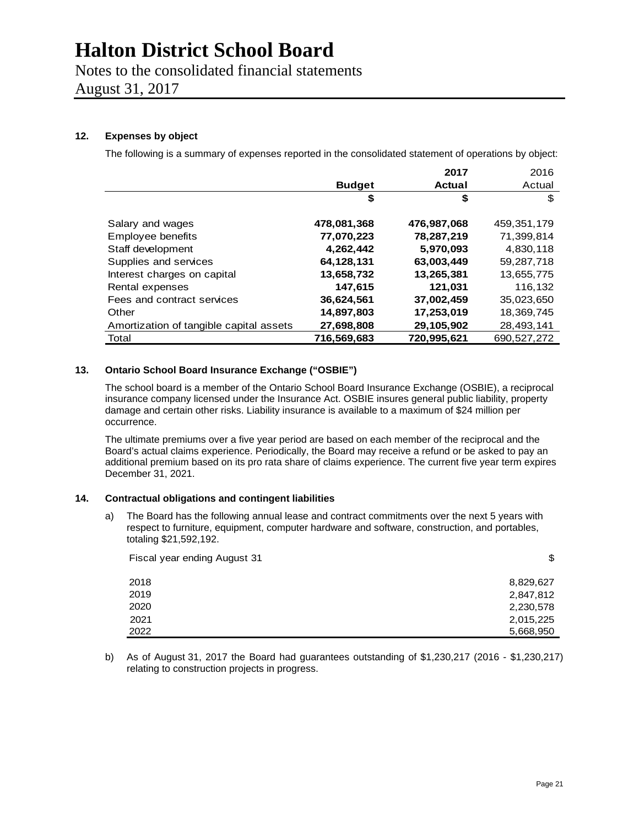Notes to the consolidated financial statements

August 31, 2017

# **12. Expenses by object**

The following is a summary of expenses reported in the consolidated statement of operations by object:

|                                         |               | 2017        | 2016          |
|-----------------------------------------|---------------|-------------|---------------|
|                                         | <b>Budget</b> | Actual      | Actual        |
|                                         | \$            | \$          | \$            |
| Salary and wages                        | 478,081,368   | 476,987,068 | 459, 351, 179 |
| Employee benefits                       | 77,070,223    | 78,287,219  | 71,399,814    |
| Staff development                       | 4,262,442     | 5,970,093   | 4,830,118     |
| Supplies and services                   | 64,128,131    | 63,003,449  | 59.287.718    |
| Interest charges on capital             | 13,658,732    | 13,265,381  | 13,655,775    |
| Rental expenses                         | 147,615       | 121,031     | 116,132       |
| Fees and contract services              | 36,624,561    | 37,002,459  | 35,023,650    |
| Other                                   | 14,897,803    | 17,253,019  | 18,369,745    |
| Amortization of tangible capital assets | 27,698,808    | 29,105,902  | 28,493,141    |
| Total                                   | 716.569.683   | 720.995.621 | 690.527.272   |

# **13. Ontario School Board Insurance Exchange ("OSBIE")**

The school board is a member of the Ontario School Board Insurance Exchange (OSBIE), a reciprocal insurance company licensed under the Insurance Act. OSBIE insures general public liability, property damage and certain other risks. Liability insurance is available to a maximum of \$24 million per occurrence.

The ultimate premiums over a five year period are based on each member of the reciprocal and the Board's actual claims experience. Periodically, the Board may receive a refund or be asked to pay an additional premium based on its pro rata share of claims experience. The current five year term expires December 31, 2021.

### **14. Contractual obligations and contingent liabilities**

a) The Board has the following annual lease and contract commitments over the next 5 years with respect to furniture, equipment, computer hardware and software, construction, and portables, totaling \$21,592,192.

| Fiscal year ending August 31 | \$        |
|------------------------------|-----------|
| 2018                         | 8,829,627 |
| 2019                         | 2,847,812 |
| 2020                         | 2,230,578 |
| 2021                         | 2,015,225 |
| 2022                         | 5,668,950 |

b) As of August 31, 2017 the Board had guarantees outstanding of \$1,230,217 (2016 - \$1,230,217) relating to construction projects in progress.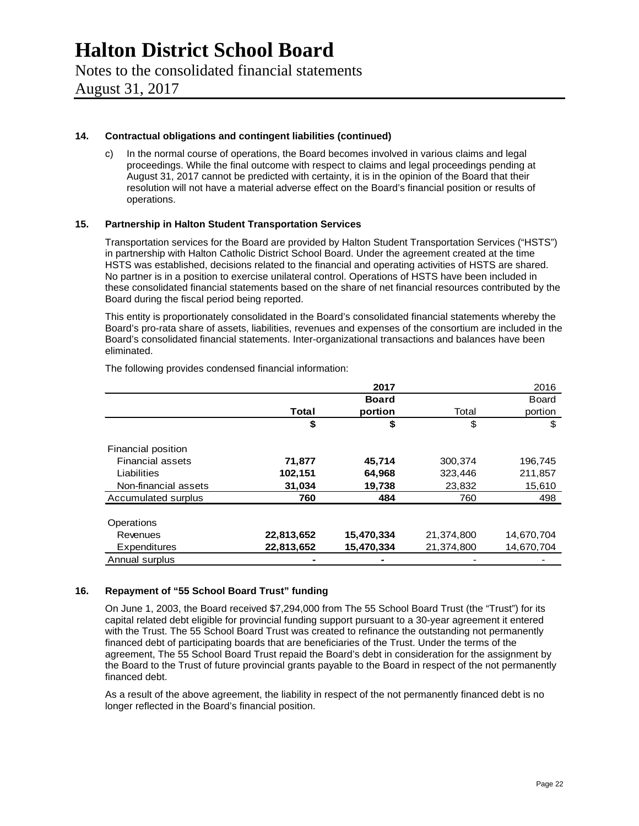Notes to the consolidated financial statements

August 31, 2017

### **14. Contractual obligations and contingent liabilities (continued)**

c) In the normal course of operations, the Board becomes involved in various claims and legal proceedings. While the final outcome with respect to claims and legal proceedings pending at August 31, 2017 cannot be predicted with certainty, it is in the opinion of the Board that their resolution will not have a material adverse effect on the Board's financial position or results of operations.

### **15. Partnership in Halton Student Transportation Services**

Transportation services for the Board are provided by Halton Student Transportation Services ("HSTS") in partnership with Halton Catholic District School Board. Under the agreement created at the time HSTS was established, decisions related to the financial and operating activities of HSTS are shared. No partner is in a position to exercise unilateral control. Operations of HSTS have been included in these consolidated financial statements based on the share of net financial resources contributed by the Board during the fiscal period being reported.

This entity is proportionately consolidated in the Board's consolidated financial statements whereby the Board's pro-rata share of assets, liabilities, revenues and expenses of the consortium are included in the Board's consolidated financial statements. Inter-organizational transactions and balances have been eliminated.

|                      |            | 2017         |            | 2016       |
|----------------------|------------|--------------|------------|------------|
|                      |            | <b>Board</b> |            | Board      |
|                      | Total      | portion      | Total      | portion    |
|                      | \$         | \$           | \$         | \$         |
| Financial position   |            |              |            |            |
| Financial assets     | 71,877     | 45,714       | 300,374    | 196,745    |
| Liabilities          | 102,151    | 64,968       | 323,446    | 211,857    |
| Non-financial assets | 31,034     | 19,738       | 23,832     | 15,610     |
| Accumulated surplus  | 760        | 484          | 760        | 498        |
| Operations           |            |              |            |            |
| Revenues             | 22,813,652 | 15,470,334   | 21,374,800 | 14,670,704 |
| <b>Expenditures</b>  | 22,813,652 | 15,470,334   | 21,374,800 | 14,670,704 |
| Annual surplus       |            |              |            |            |

The following provides condensed financial information:

# **16. Repayment of "55 School Board Trust" funding**

On June 1, 2003, the Board received \$7,294,000 from The 55 School Board Trust (the "Trust") for its capital related debt eligible for provincial funding support pursuant to a 30-year agreement it entered with the Trust. The 55 School Board Trust was created to refinance the outstanding not permanently financed debt of participating boards that are beneficiaries of the Trust. Under the terms of the agreement, The 55 School Board Trust repaid the Board's debt in consideration for the assignment by the Board to the Trust of future provincial grants payable to the Board in respect of the not permanently financed debt.

As a result of the above agreement, the liability in respect of the not permanently financed debt is no longer reflected in the Board's financial position.